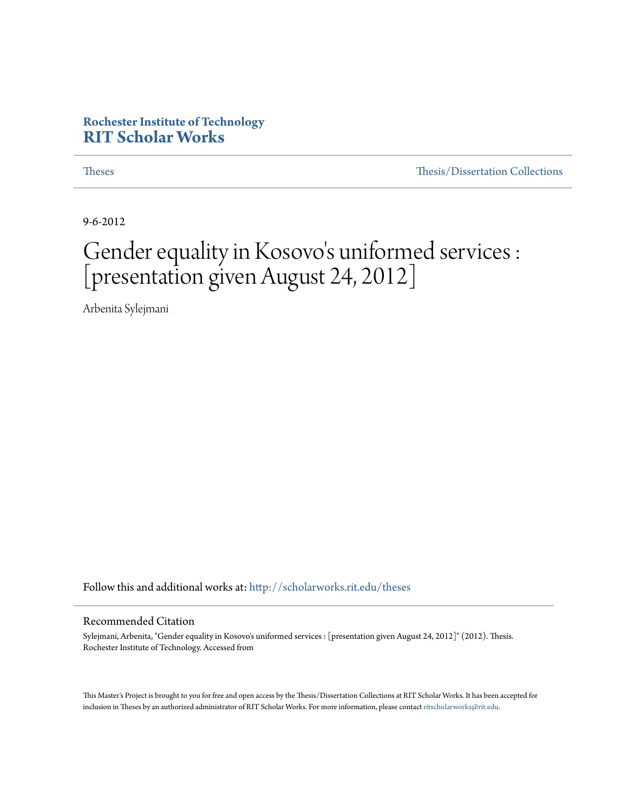#### **Rochester Institute of Technology [RIT Scholar Works](http://scholarworks.rit.edu?utm_source=scholarworks.rit.edu%2Ftheses%2F6853&utm_medium=PDF&utm_campaign=PDFCoverPages)**

[Theses](http://scholarworks.rit.edu/theses?utm_source=scholarworks.rit.edu%2Ftheses%2F6853&utm_medium=PDF&utm_campaign=PDFCoverPages) [Thesis/Dissertation Collections](http://scholarworks.rit.edu/etd_collections?utm_source=scholarworks.rit.edu%2Ftheses%2F6853&utm_medium=PDF&utm_campaign=PDFCoverPages)

9-6-2012

#### Gender equality in Kosovo 's uniformed services : [presentation given August 24, 2012]

Arbenita Sylejmani

Follow this and additional works at: [http://scholarworks.rit.edu/theses](http://scholarworks.rit.edu/theses?utm_source=scholarworks.rit.edu%2Ftheses%2F6853&utm_medium=PDF&utm_campaign=PDFCoverPages)

#### Recommended Citation

Sylejmani, Arbenita, "Gender equality in Kosovo's uniformed services : [presentation given August 24, 2012]" (2012). Thesis. Rochester Institute of Technology. Accessed from

This Master's Project is brought to you for free and open access by the Thesis/Dissertation Collections at RIT Scholar Works. It has been accepted for inclusion in Theses by an authorized administrator of RIT Scholar Works. For more information, please contact [ritscholarworks@rit.edu](mailto:ritscholarworks@rit.edu).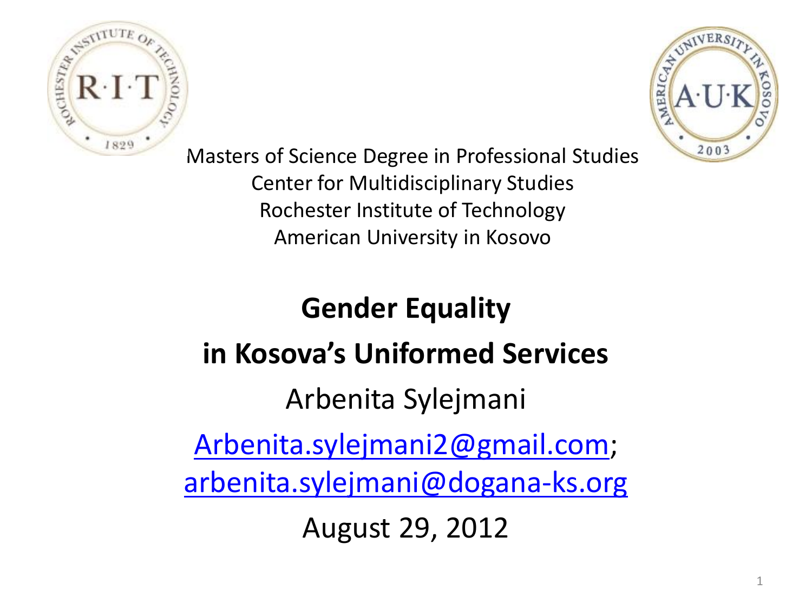



Masters of Science Degree in Professional Studies Center for Multidisciplinary Studies Rochester Institute of Technology American University in Kosovo

# **Gender Equality in Kosova's Uniformed Services** Arbenita Sylejmani [Arbenita.sylejmani2@gmail.com;](mailto:Arbenita.sylejmani2@gmail.com) [arbenita.sylejmani@dogana-ks.org](mailto:arbenita.sylejmani@dogana-ks.org) August 29, 2012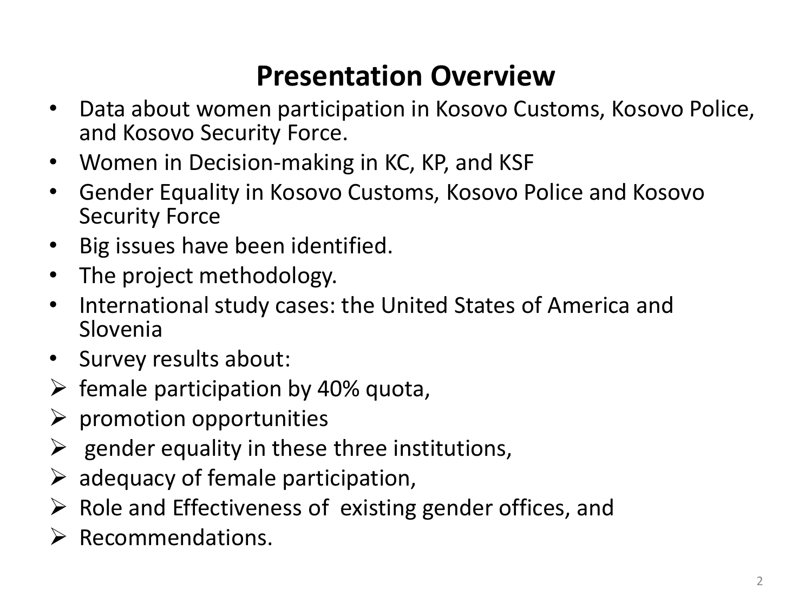## **Presentation Overview**

- Data about women participation in Kosovo Customs, Kosovo Police, and Kosovo Security Force.
- Women in Decision-making in KC, KP, and KSF
- Gender Equality in Kosovo Customs, Kosovo Police and Kosovo Security Force
- Big issues have been identified.
- The project methodology.
- International study cases: the United States of America and Slovenia
- Survey results about:
- $\triangleright$  female participation by 40% quota,
- $\triangleright$  promotion opportunities
- $\triangleright$  gender equality in these three institutions,
- $\triangleright$  adequacy of female participation,
- $\triangleright$  Role and Effectiveness of existing gender offices, and
- $\triangleright$  Recommendations.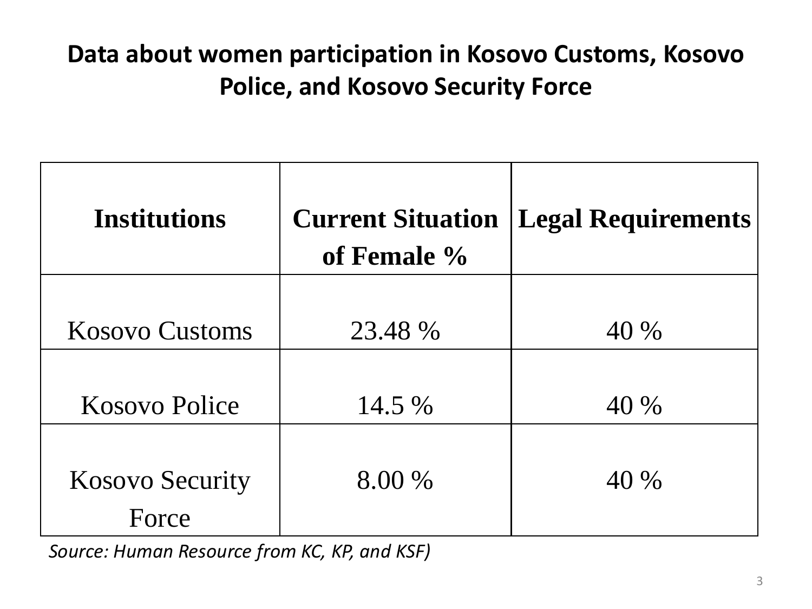#### **Data about women participation in Kosovo Customs, Kosovo Police, and Kosovo Security Force**

| Institutions           | of Female % | <b>Current Situation   Legal Requirements</b> |
|------------------------|-------------|-----------------------------------------------|
| <b>Kosovo Customs</b>  | 23.48 %     | 40 %                                          |
|                        |             |                                               |
| <b>Kosovo Police</b>   | 14.5 %      | 40 %                                          |
|                        |             |                                               |
| <b>Kosovo Security</b> | 8.00 %      | 40 %                                          |
| Force                  |             |                                               |

*Source: Human Resource from KC, KP, and KSF)*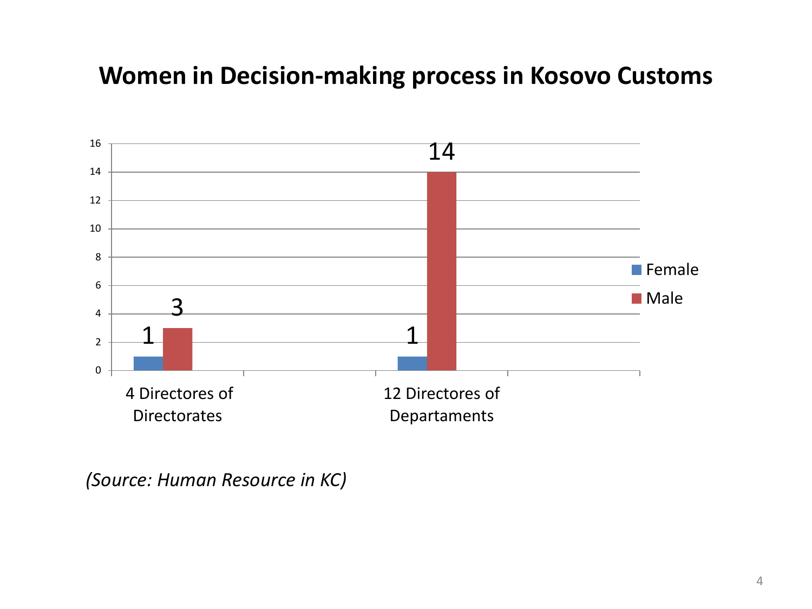#### **Women in Decision-making process in Kosovo Customs**



 *(Source: Human Resource in KC)*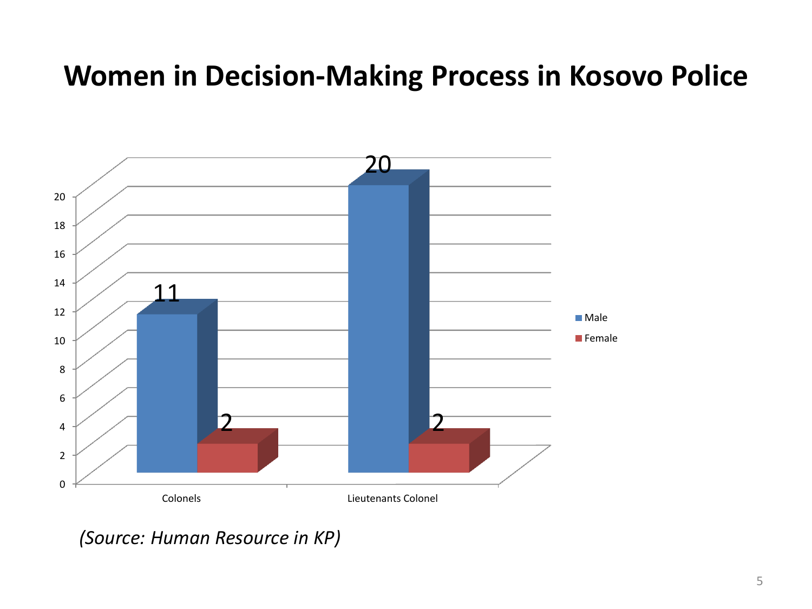### **Women in Decision-Making Process in Kosovo Police**



*(Source: Human Resource in KP)*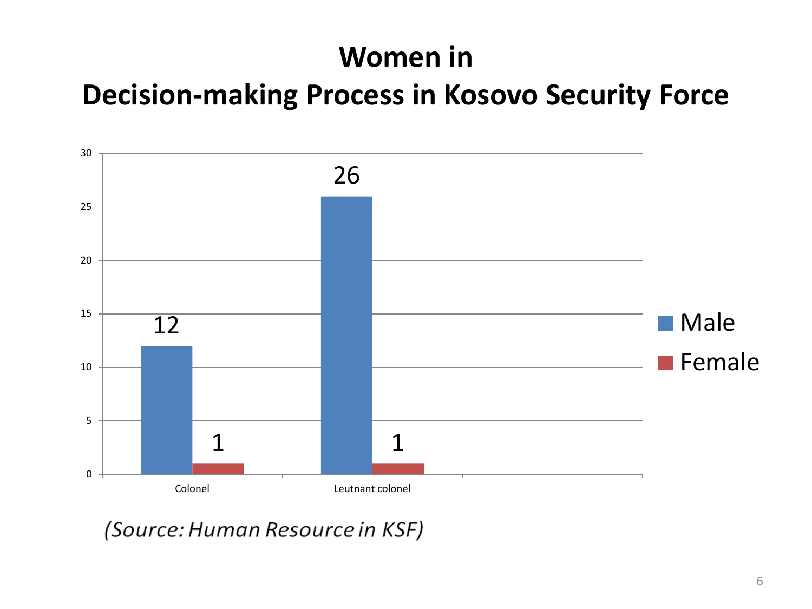### **Women in**

#### **Decision-making Process in Kosovo Security Force**



(Source: Human Resource in KSF)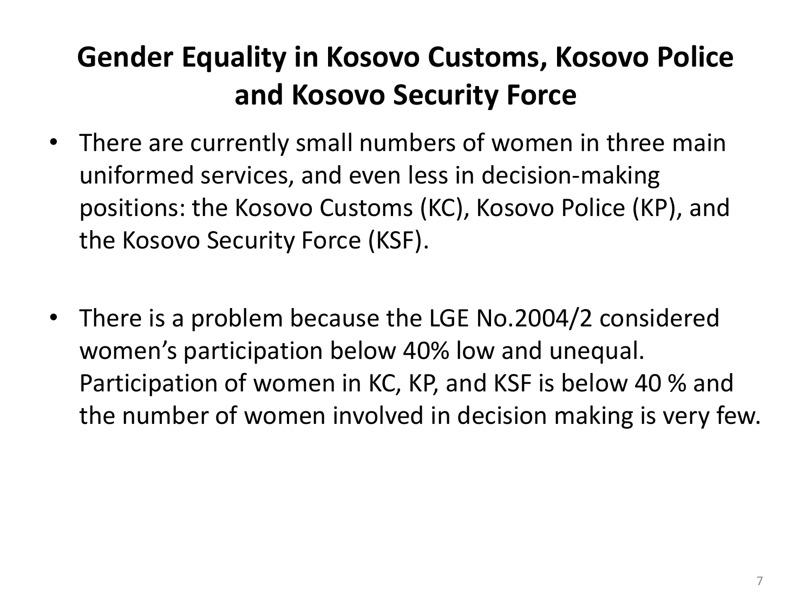# **Gender Equality in Kosovo Customs, Kosovo Police and Kosovo Security Force**

- There are currently small numbers of women in three main uniformed services, and even less in decision-making positions: the Kosovo Customs (KC), Kosovo Police (KP), and the Kosovo Security Force (KSF).
- There is a problem because the LGE No.2004/2 considered women's participation below 40% low and unequal. Participation of women in KC, KP, and KSF is below 40 % and the number of women involved in decision making is very few.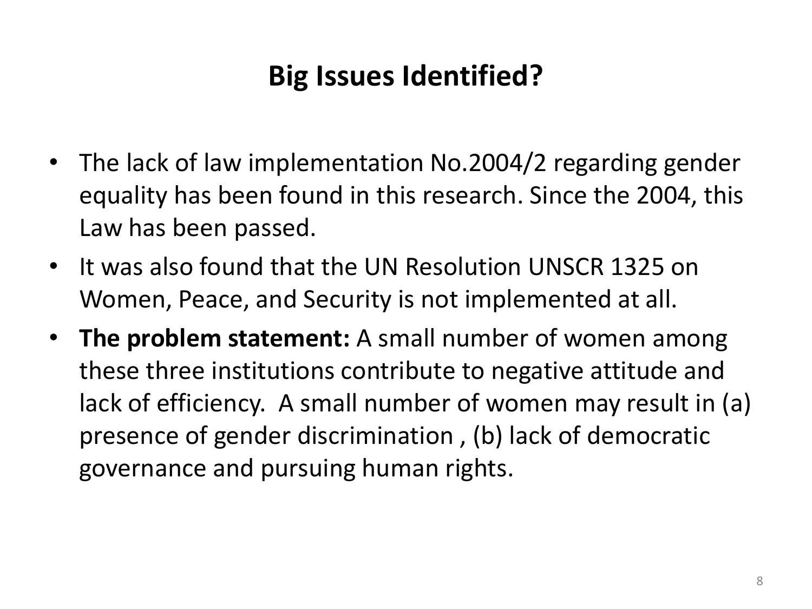# **Big Issues Identified?**

- The lack of law implementation No.2004/2 regarding gender equality has been found in this research. Since the 2004, this Law has been passed.
- It was also found that the UN Resolution UNSCR 1325 on Women, Peace, and Security is not implemented at all.
- **The problem statement:** A small number of women among these three institutions contribute to negative attitude and lack of efficiency. A small number of women may result in (a) presence of gender discrimination , (b) lack of democratic governance and pursuing human rights.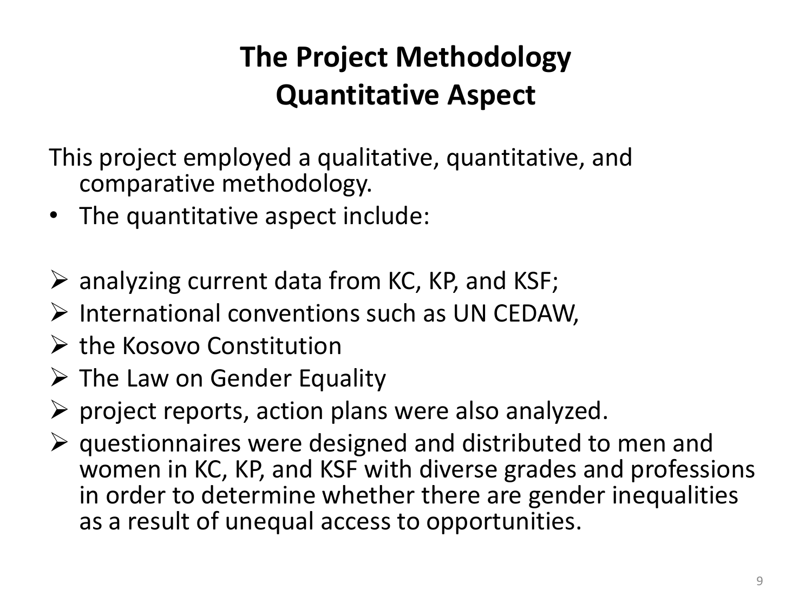# **The Project Methodology Quantitative Aspect**

This project employed a qualitative, quantitative, and comparative methodology.

- The quantitative aspect include:
- $\triangleright$  analyzing current data from KC, KP, and KSF;
- $\triangleright$  International conventions such as UN CEDAW,
- $\triangleright$  the Kosovo Constitution
- $\triangleright$  The Law on Gender Equality
- $\triangleright$  project reports, action plans were also analyzed.
- $\triangleright$  questionnaires were designed and distributed to men and women in KC, KP, and KSF with diverse grades and professions in order to determine whether there are gender inequalities as a result of unequal access to opportunities.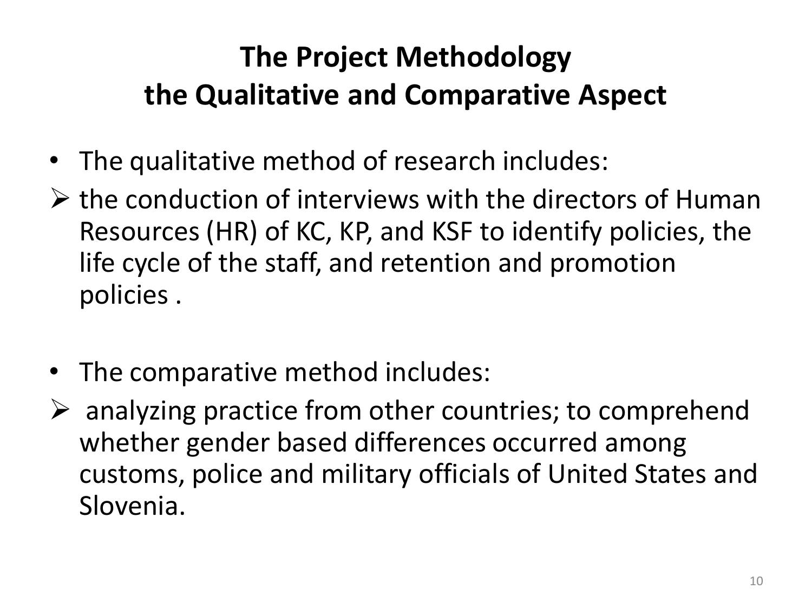# **The Project Methodology the Qualitative and Comparative Aspect**

- The qualitative method of research includes:
- $\triangleright$  the conduction of interviews with the directors of Human Resources (HR) of KC, KP, and KSF to identify policies, the life cycle of the staff, and retention and promotion policies .
- The comparative method includes:
- $\triangleright$  analyzing practice from other countries; to comprehend whether gender based differences occurred among customs, police and military officials of United States and Slovenia.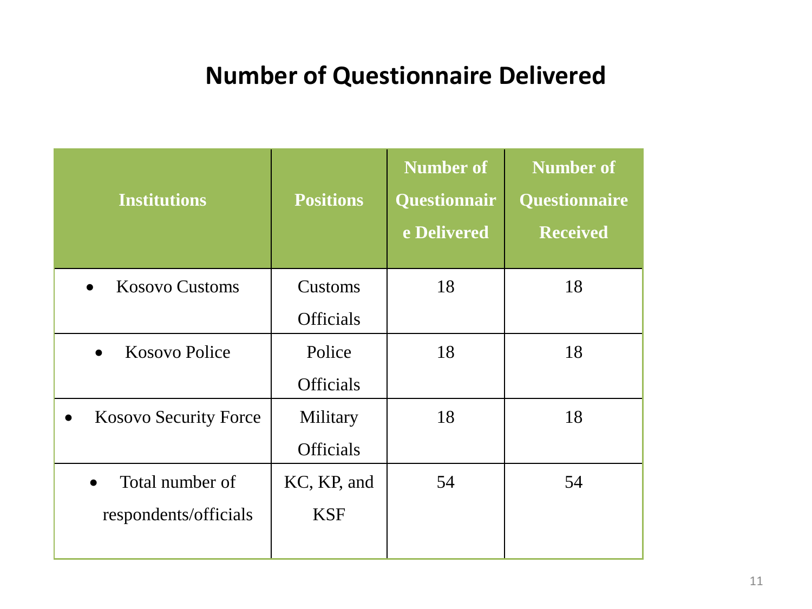#### **Number of Questionnaire Delivered**

| <b>Institutions</b>                | <b>Positions</b> | <b>Number of</b><br><b>Questionnair</b><br>e Delivered | <b>Number of</b><br><b>Questionnaire</b><br><b>Received</b> |
|------------------------------------|------------------|--------------------------------------------------------|-------------------------------------------------------------|
| <b>Kosovo Customs</b><br>$\bullet$ | Customs          | 18                                                     | 18                                                          |
|                                    | <b>Officials</b> |                                                        |                                                             |
| Kosovo Police                      | Police           | 18                                                     | 18                                                          |
|                                    | <b>Officials</b> |                                                        |                                                             |
| <b>Kosovo Security Force</b>       | Military         | 18                                                     | 18                                                          |
|                                    | <b>Officials</b> |                                                        |                                                             |
| Total number of                    | KC, KP, and      | 54                                                     | 54                                                          |
| respondents/officials              | <b>KSF</b>       |                                                        |                                                             |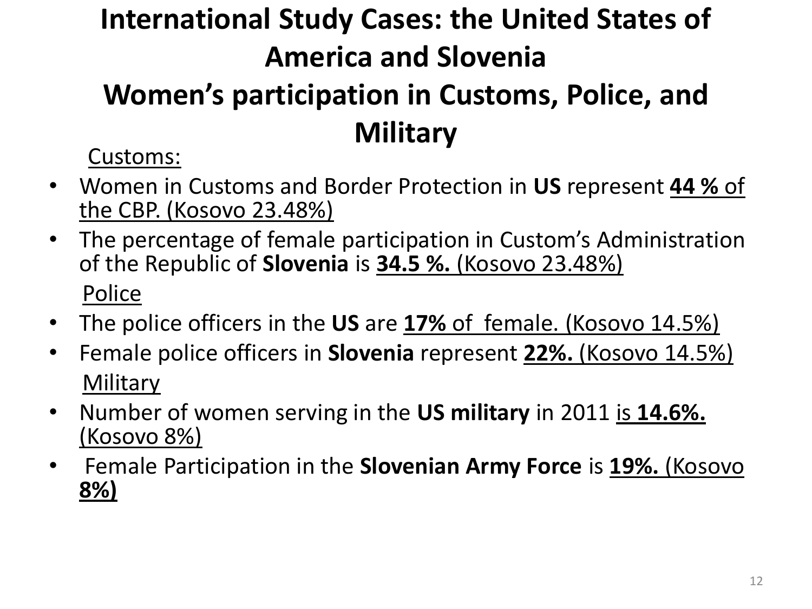# **International Study Cases: the United States of America and Slovenia**

# **Women's participation in Customs, Police, and Military**

Customs:

- Women in Customs and Border Protection in **US** represent **44 %** of the CBP. (Kosovo 23.48%)
- The percentage of female participation in Custom's Administration of the Republic of **Slovenia** is **34.5 %.** (Kosovo 23.48%) Police
- The police officers in the **US** are **17%** of female. (Kosovo 14.5%)
- Female police officers in **Slovenia** represent **22%.** (Kosovo 14.5%) **Military**
- Number of women serving in the **US military** in 2011 is **14.6%.**  (Kosovo 8%)
- Female Participation in the **Slovenian Army Force** is **19%.** (Kosovo **8%)**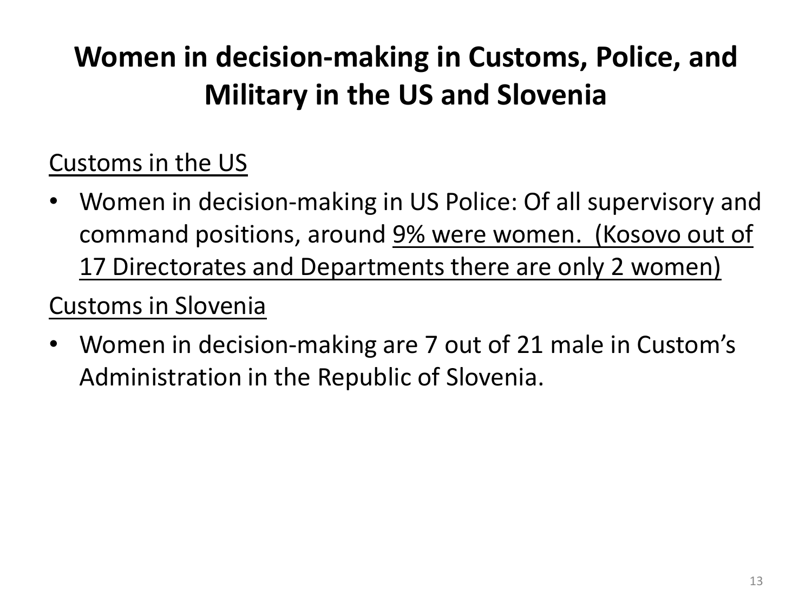# **Women in decision-making in Customs, Police, and Military in the US and Slovenia**

## Customs in the US

• Women in decision-making in US Police: Of all supervisory and command positions, around 9% were women. (Kosovo out of 17 Directorates and Departments there are only 2 women)

### Customs in Slovenia

• Women in decision-making are 7 out of 21 male in Custom's Administration in the Republic of Slovenia.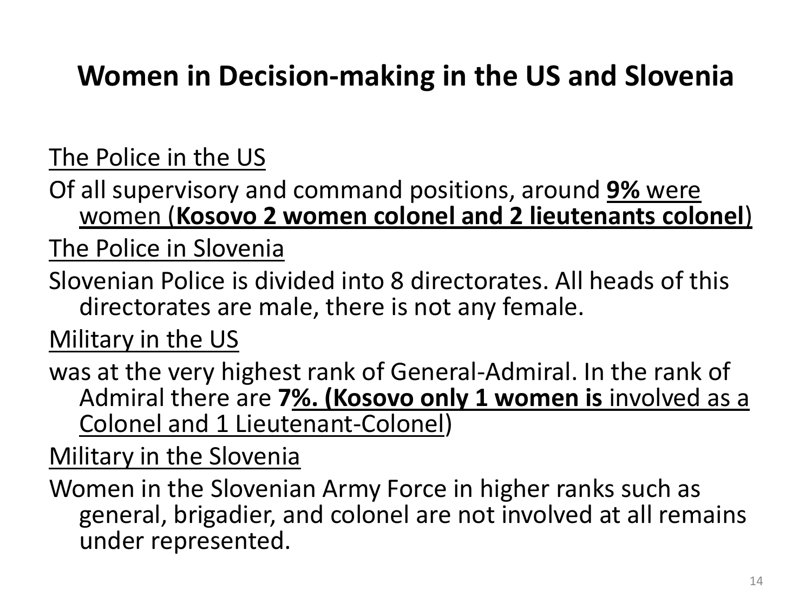# **Women in Decision-making in the US and Slovenia**

#### The Police in the US

Of all supervisory and command positions, around **9%** were women (**Kosovo 2 women colonel and 2 lieutenants colonel**)

The Police in Slovenia

Slovenian Police is divided into 8 directorates. All heads of this directorates are male, there is not any female.

Military in the US

was at the very highest rank of General-Admiral. In the rank of Admiral there are **7%. (Kosovo only 1 women is** involved as a Colonel and 1 Lieutenant-Colonel)

Military in the Slovenia

Women in the Slovenian Army Force in higher ranks such as general, brigadier, and colonel are not involved at all remains under represented.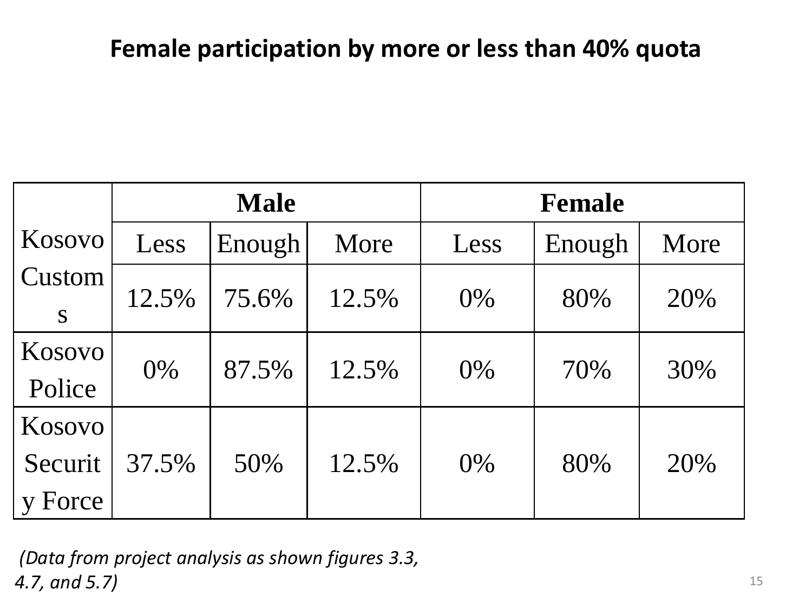#### **Female participation by more or less than 40% quota**

|                            | <b>Male</b> |        |       | <b>Female</b> |        |      |
|----------------------------|-------------|--------|-------|---------------|--------|------|
| Kosovo                     | Less        | Enough | More  | Less          | Enough | More |
| Custom<br>S                | 12.5%       | 75.6%  | 12.5% | 0%            | 80%    | 20%  |
| Kosovo<br>Police           | 0%          | 87.5%  | 12.5% | 0%            | 70%    | 30%  |
| Kosovo<br>Securit<br>Force | 37.5%       | 50%    | 12.5% | 0%            | 80%    | 20%  |

*(Data from project analysis as shown figures 3.3, 4.7, and 5.7)* 15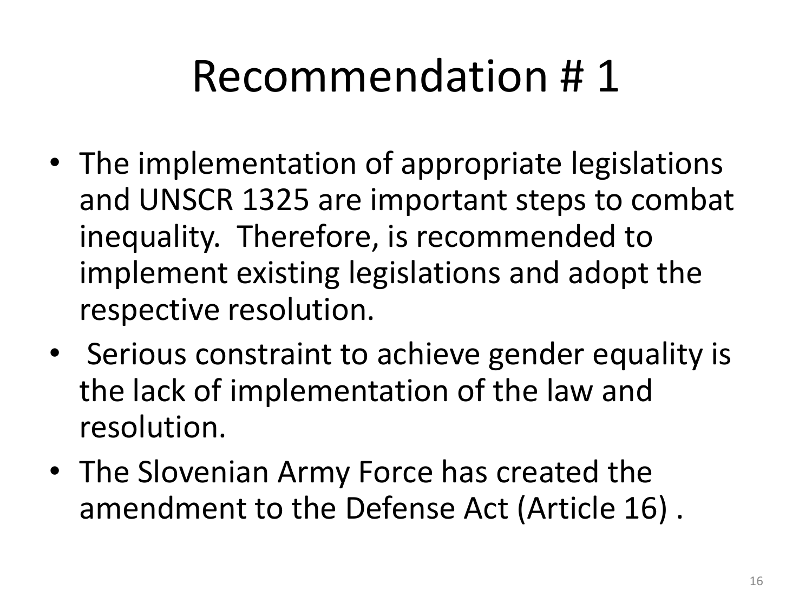# Recommendation # 1

- The implementation of appropriate legislations and UNSCR 1325 are important steps to combat inequality. Therefore, is recommended to implement existing legislations and adopt the respective resolution.
- Serious constraint to achieve gender equality is the lack of implementation of the law and resolution.
- The Slovenian Army Force has created the amendment to the Defense Act (Article 16) .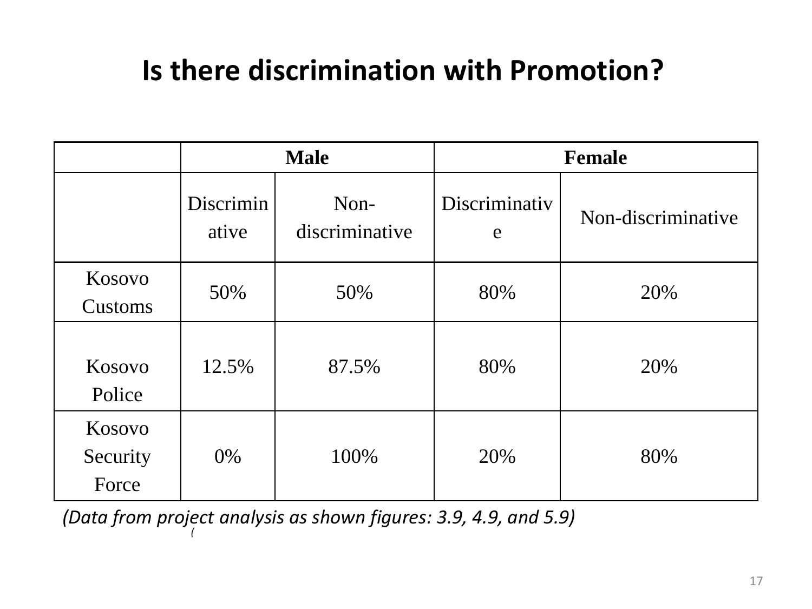## **Is there discrimination with Promotion?**

|                             | <b>Male</b>        |                        | <b>Female</b>      |                    |  |
|-----------------------------|--------------------|------------------------|--------------------|--------------------|--|
|                             | Discrimin<br>ative | Non-<br>discriminative | Discriminativ<br>e | Non-discriminative |  |
| Kosovo<br>Customs           | 50%                | 50%                    | 80%                | 20%                |  |
| Kosovo<br>Police            | 12.5%              | 87.5%                  | 80%                | 20%                |  |
| Kosovo<br>Security<br>Force | $0\%$              | 100%                   | 20%                | 80%                |  |

*( (Data from project analysis as shown figures: 3.9, 4.9, and 5.9)*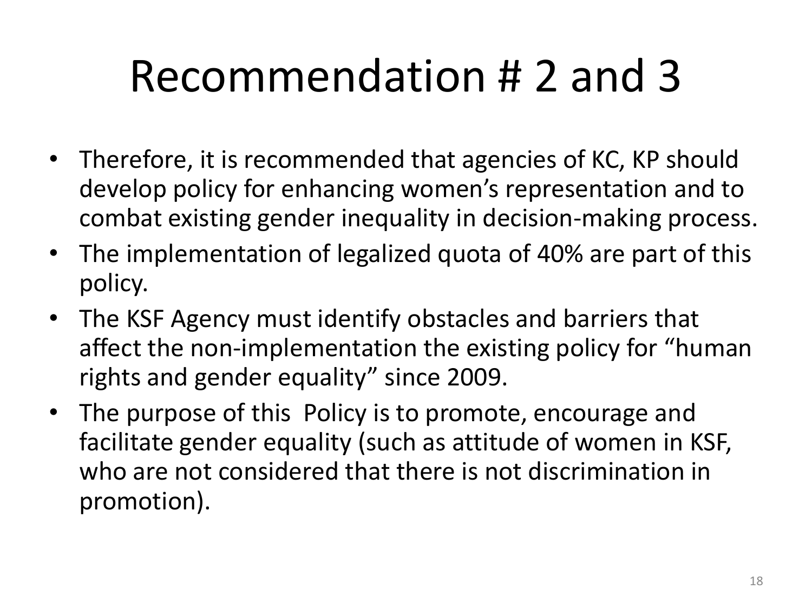# Recommendation # 2 and 3

- Therefore, it is recommended that agencies of KC, KP should develop policy for enhancing women's representation and to combat existing gender inequality in decision-making process.
- The implementation of legalized quota of 40% are part of this policy.
- The KSF Agency must identify obstacles and barriers that affect the non-implementation the existing policy for "human rights and gender equality" since 2009.
- The purpose of this Policy is to promote, encourage and facilitate gender equality (such as attitude of women in KSF, who are not considered that there is not discrimination in promotion).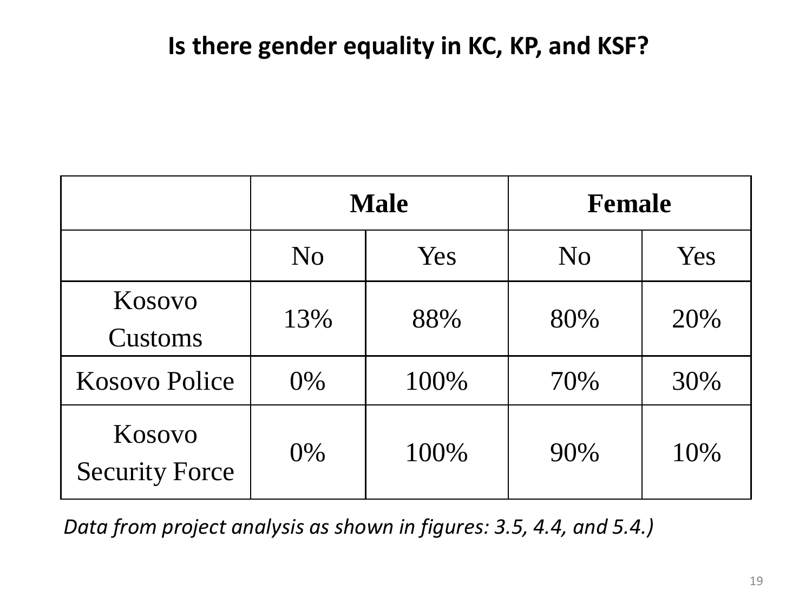#### **Is there gender equality in KC, KP, and KSF?**

|                                 |                | <b>Male</b> | <b>Female</b>  |     |  |
|---------------------------------|----------------|-------------|----------------|-----|--|
|                                 | N <sub>O</sub> | Yes         | N <sub>O</sub> | Yes |  |
| Kosovo<br>Customs               | 13%            | 88%         | 80%            | 20% |  |
| <b>Kosovo Police</b>            | $0\%$          | 100%        | 70%            | 30% |  |
| Kosovo<br><b>Security Force</b> | 0%             | 100%        | 90%            | 10% |  |

 *Data from project analysis as shown in figures: 3.5, 4.4, and 5.4.)*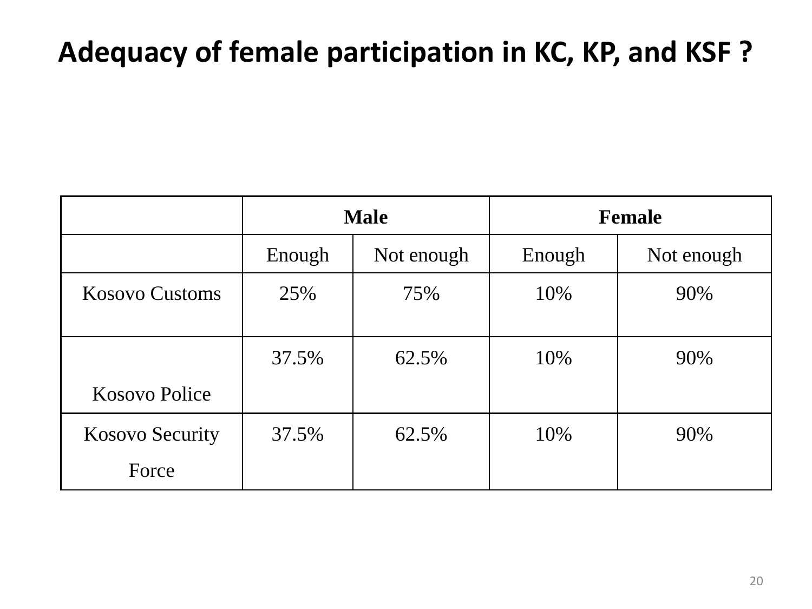## **Adequacy of female participation in KC, KP, and KSF ?**

|                        | <b>Male</b> |            | <b>Female</b> |            |
|------------------------|-------------|------------|---------------|------------|
|                        | Enough      | Not enough | Enough        | Not enough |
| <b>Kosovo Customs</b>  | 25%         | 75%        | 10%           | 90%        |
|                        | 37.5%       | 62.5%      | 10%           | 90%        |
| Kosovo Police          |             |            |               |            |
| <b>Kosovo Security</b> | 37.5%       | 62.5%      | 10%           | 90%        |
| Force                  |             |            |               |            |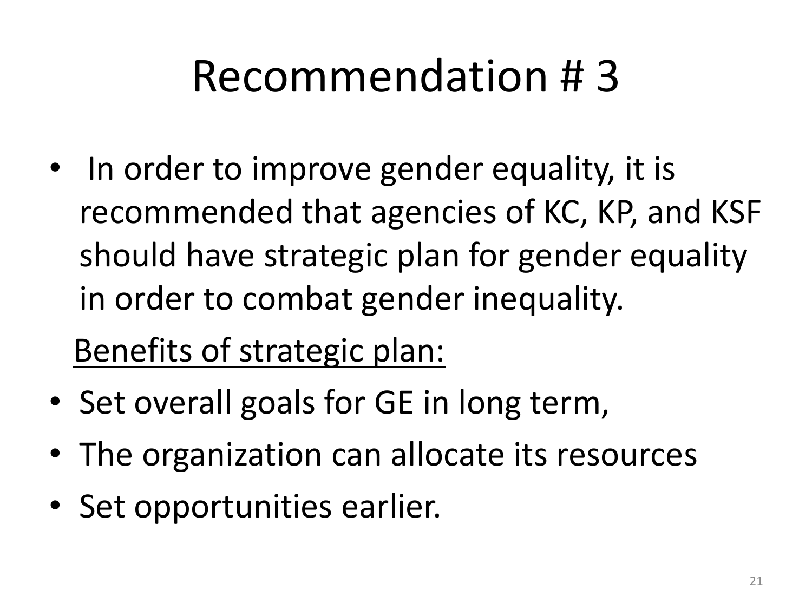# Recommendation # 3

• In order to improve gender equality, it is recommended that agencies of KC, KP, and KSF should have strategic plan for gender equality in order to combat gender inequality.

Benefits of strategic plan:

- Set overall goals for GE in long term,
- The organization can allocate its resources
- Set opportunities earlier.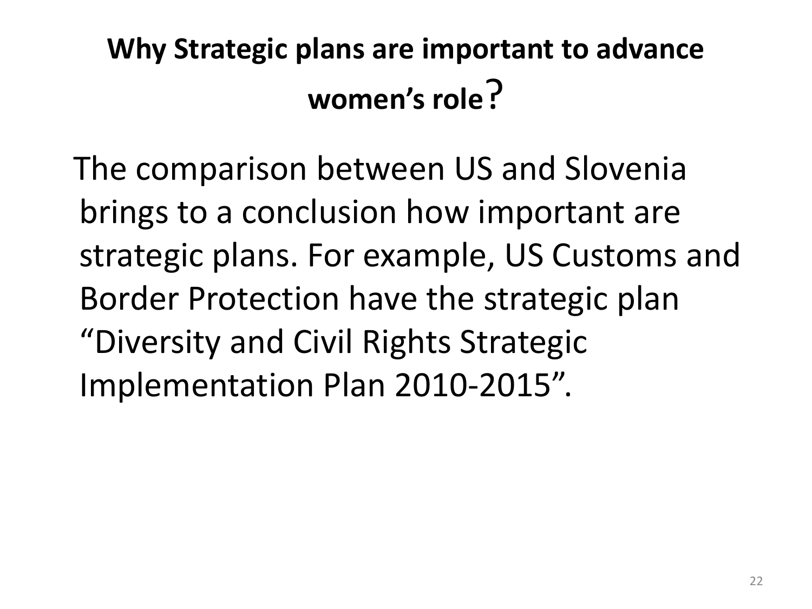# **Why Strategic plans are important to advance women's role**?

 The comparison between US and Slovenia brings to a conclusion how important are strategic plans. For example, US Customs and Border Protection have the strategic plan "Diversity and Civil Rights Strategic Implementation Plan 2010-2015".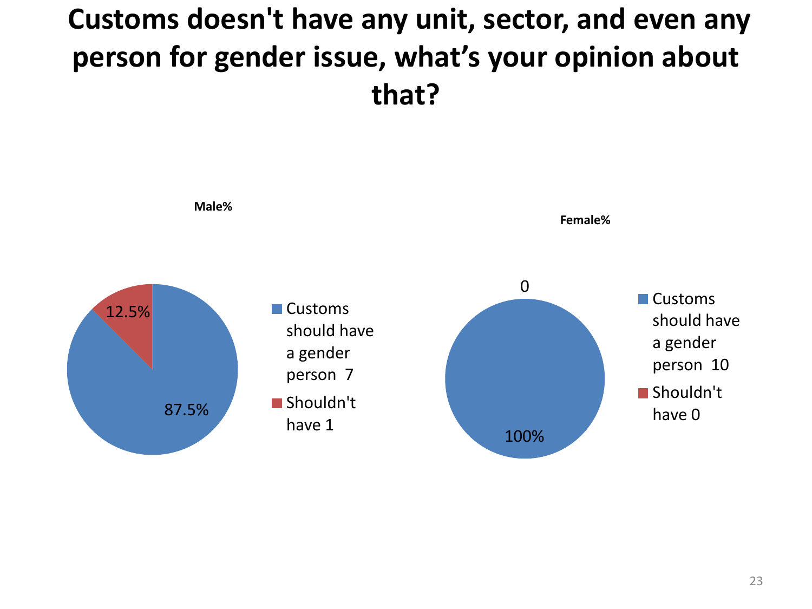# **Customs doesn't have any unit, sector, and even any person for gender issue, what's your opinion about that?**

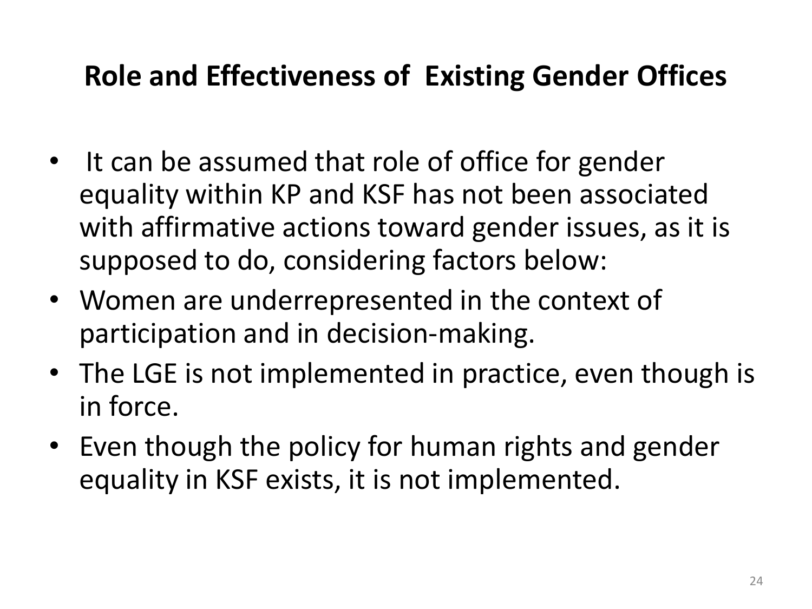## **Role and Effectiveness of Existing Gender Offices**

- It can be assumed that role of office for gender equality within KP and KSF has not been associated with affirmative actions toward gender issues, as it is supposed to do, considering factors below:
- Women are underrepresented in the context of participation and in decision-making.
- The LGE is not implemented in practice, even though is in force.
- Even though the policy for human rights and gender equality in KSF exists, it is not implemented.